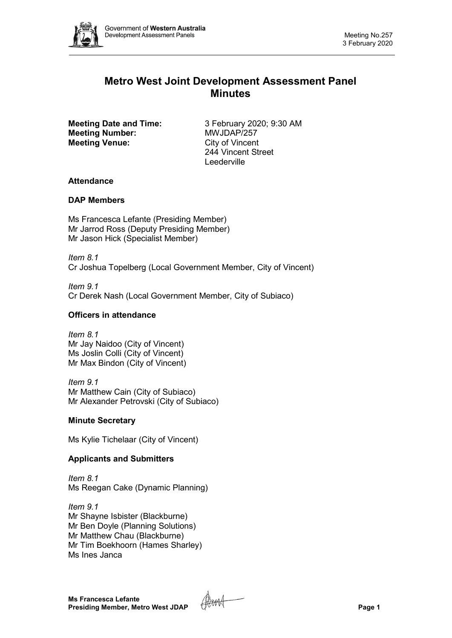

# **Metro West Joint Development Assessment Panel Minutes**

**Meeting Number: Meeting Venue:** City of Vincent

**Meeting Date and Time:** 3 February 2020; 9:30 AM<br> **Meeting Number:** MWJDAP/257 244 Vincent Street Leederville

# **Attendance**

# **DAP Members**

Ms Francesca Lefante (Presiding Member) Mr Jarrod Ross (Deputy Presiding Member) Mr Jason Hick (Specialist Member)

*Item 8.1* Cr Joshua Topelberg (Local Government Member, City of Vincent)

*Item 9.1* Cr Derek Nash (Local Government Member, City of Subiaco)

# **Officers in attendance**

*Item 8.1* Mr Jay Naidoo (City of Vincent) Ms Joslin Colli (City of Vincent) Mr Max Bindon (City of Vincent)

*Item 9.1* Mr Matthew Cain (City of Subiaco) Mr Alexander Petrovski (City of Subiaco)

### **Minute Secretary**

Ms Kylie Tichelaar (City of Vincent)

# **Applicants and Submitters**

*Item 8.1* Ms Reegan Cake (Dynamic Planning)

*Item 9.1* Mr Shayne Isbister (Blackburne) Mr Ben Doyle (Planning Solutions) Mr Matthew Chau (Blackburne) Mr Tim Boekhoorn (Hames Sharley) Ms Ines Janca

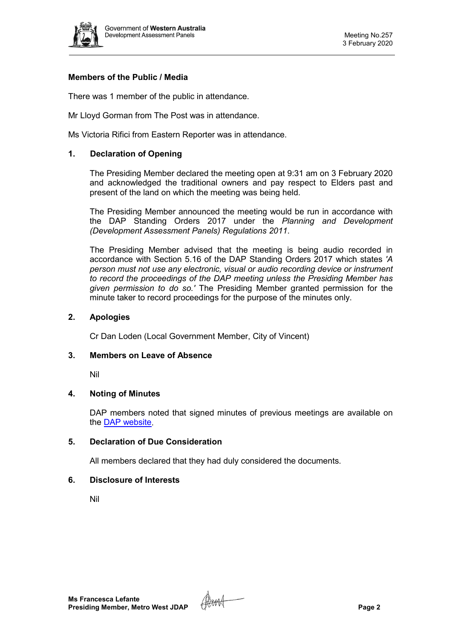

## **Members of the Public / Media**

There was 1 member of the public in attendance.

Mr Lloyd Gorman from The Post was in attendance.

Ms Victoria Rifici from Eastern Reporter was in attendance.

#### **1. Declaration of Opening**

The Presiding Member declared the meeting open at 9:31 am on 3 February 2020 and acknowledged the traditional owners and pay respect to Elders past and present of the land on which the meeting was being held.

The Presiding Member announced the meeting would be run in accordance with the DAP Standing Orders 2017 under the *Planning and Development (Development Assessment Panels) Regulations 2011*.

The Presiding Member advised that the meeting is being audio recorded in accordance with Section 5.16 of the DAP Standing Orders 2017 which states *'A person must not use any electronic, visual or audio recording device or instrument to record the proceedings of the DAP meeting unless the Presiding Member has given permission to do so.'* The Presiding Member granted permission for the minute taker to record proceedings for the purpose of the minutes only.

#### **2. Apologies**

Cr Dan Loden (Local Government Member, City of Vincent)

#### **3. Members on Leave of Absence**

Nil

### **4. Noting of Minutes**

DAP members noted that signed minutes of previous meetings are available on the [DAP website.](https://www.dplh.wa.gov.au/about/development-assessment-panels/daps-agendas-and-minutes)

### **5. Declaration of Due Consideration**

All members declared that they had duly considered the documents.

#### **6. Disclosure of Interests**

Nil

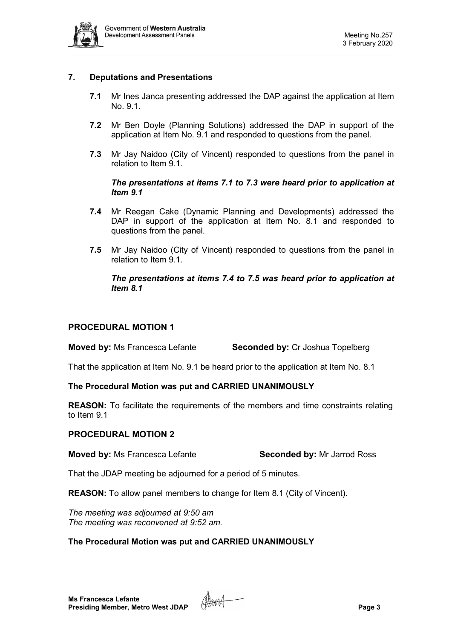

### **7. Deputations and Presentations**

- **7.1** Mr Ines Janca presenting addressed the DAP against the application at Item No. 9.1.
- **7.2** Mr Ben Doyle (Planning Solutions) addressed the DAP in support of the application at Item No. 9.1 and responded to questions from the panel.
- **7.3** Mr Jay Naidoo (City of Vincent) responded to questions from the panel in relation to Item 9.1.

#### *The presentations at items 7.1 to 7.3 were heard prior to application at Item 9.1*

- **7.4** Mr Reegan Cake (Dynamic Planning and Developments) addressed the DAP in support of the application at Item No. 8.1 and responded to questions from the panel.
- **7.5** Mr Jay Naidoo (City of Vincent) responded to questions from the panel in relation to Item 9.1.

### *The presentations at items 7.4 to 7.5 was heard prior to application at Item 8.1*

### **PROCEDURAL MOTION 1**

**Moved by:** Ms Francesca Lefante **Seconded by:** Cr Joshua Topelberg

That the application at Item No. 9.1 be heard prior to the application at Item No. 8.1

## **The Procedural Motion was put and CARRIED UNANIMOUSLY**

**REASON:** To facilitate the requirements of the members and time constraints relating to Item 9.1

### **PROCEDURAL MOTION 2**

**Moved by:** Ms Francesca Lefante **Seconded by:** Mr Jarrod Ross

That the JDAP meeting be adjourned for a period of 5 minutes.

**REASON:** To allow panel members to change for Item 8.1 (City of Vincent).

*The meeting was adjourned at 9:50 am The meeting was reconvened at 9:52 am.*

### **The Procedural Motion was put and CARRIED UNANIMOUSLY**

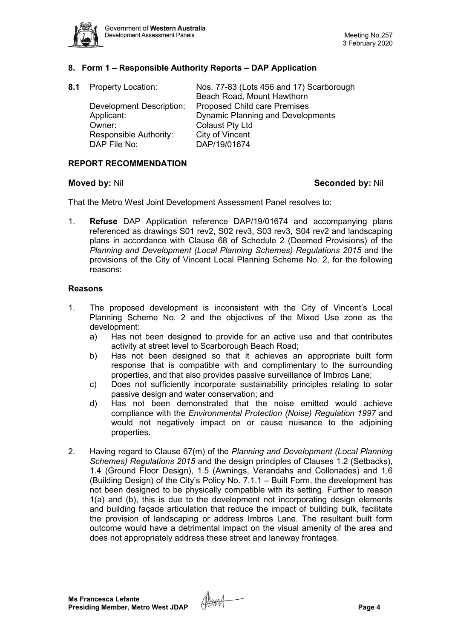

#### **8. Form 1 – Responsible Authority Reports – DAP Application**

| 8.1 Property Location:          | Nos. 77-83 (Lots 456 and 17) Scarborough |
|---------------------------------|------------------------------------------|
|                                 | Beach Road, Mount Hawthorn               |
| <b>Development Description:</b> | <b>Proposed Child care Premises</b>      |
| Applicant:                      | <b>Dynamic Planning and Developments</b> |
| Owner:                          | <b>Colaust Pty Ltd</b>                   |
| Responsible Authority:          | City of Vincent                          |
| DAP File No:                    | DAP/19/01674                             |

#### **REPORT RECOMMENDATION**

#### **Moved by:** Nil **Seconded by:** Nil

That the Metro West Joint Development Assessment Panel resolves to:

1. **Refuse** DAP Application reference DAP/19/01674 and accompanying plans referenced as drawings S01 rev2, S02 rev3, S03 rev3, S04 rev2 and landscaping plans in accordance with Clause 68 of Schedule 2 (Deemed Provisions) of the *Planning and Development (Local Planning Schemes) Regulations 2015* and the provisions of the City of Vincent Local Planning Scheme No. 2, for the following reasons:

#### **Reasons**

- 1. The proposed development is inconsistent with the City of Vincent's Local Planning Scheme No. 2 and the objectives of the Mixed Use zone as the development:
	- a) Has not been designed to provide for an active use and that contributes activity at street level to Scarborough Beach Road;
	- b) Has not been designed so that it achieves an appropriate built form response that is compatible with and complimentary to the surrounding properties, and that also provides passive surveillance of Imbros Lane;
	- c) Does not sufficiently incorporate sustainability principles relating to solar passive design and water conservation; and
	- d) Has not been demonstrated that the noise emitted would achieve compliance with the *Environmental Protection (Noise) Regulation 1997* and would not negatively impact on or cause nuisance to the adjoining properties.
- 2. Having regard to Clause 67(m) of the *Planning and Development (Local Planning Schemes) Regulations 2015* and the design principles of Clauses 1.2 (Setbacks), 1.4 (Ground Floor Design), 1.5 (Awnings, Verandahs and Collonades) and 1.6 (Building Design) of the City's Policy No. 7.1.1 – Built Form, the development has not been designed to be physically compatible with its setting. Further to reason 1(a) and (b), this is due to the development not incorporating design elements and building façade articulation that reduce the impact of building bulk, facilitate the provision of landscaping or address Imbros Lane. The resultant built form outcome would have a detrimental impact on the visual amenity of the area and does not appropriately address these street and laneway frontages.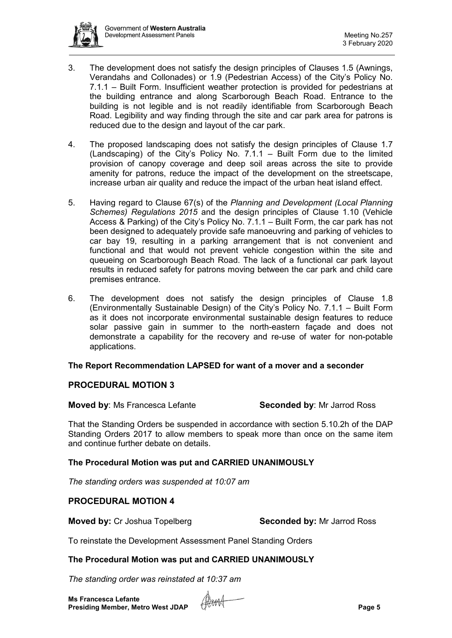

- 3. The development does not satisfy the design principles of Clauses 1.5 (Awnings, Verandahs and Collonades) or 1.9 (Pedestrian Access) of the City's Policy No. 7.1.1 – Built Form. Insufficient weather protection is provided for pedestrians at the building entrance and along Scarborough Beach Road. Entrance to the building is not legible and is not readily identifiable from Scarborough Beach Road. Legibility and way finding through the site and car park area for patrons is reduced due to the design and layout of the car park.
- 4. The proposed landscaping does not satisfy the design principles of Clause 1.7 (Landscaping) of the City's Policy No. 7.1.1 – Built Form due to the limited provision of canopy coverage and deep soil areas across the site to provide amenity for patrons, reduce the impact of the development on the streetscape, increase urban air quality and reduce the impact of the urban heat island effect.
- 5. Having regard to Clause 67(s) of the *Planning and Development (Local Planning Schemes) Regulations 2015* and the design principles of Clause 1.10 (Vehicle Access & Parking) of the City's Policy No. 7.1.1 – Built Form, the car park has not been designed to adequately provide safe manoeuvring and parking of vehicles to car bay 19, resulting in a parking arrangement that is not convenient and functional and that would not prevent vehicle congestion within the site and queueing on Scarborough Beach Road. The lack of a functional car park layout results in reduced safety for patrons moving between the car park and child care premises entrance.
- 6. The development does not satisfy the design principles of Clause 1.8 (Environmentally Sustainable Design) of the City's Policy No. 7.1.1 – Built Form as it does not incorporate environmental sustainable design features to reduce solar passive gain in summer to the north-eastern façade and does not demonstrate a capability for the recovery and re-use of water for non-potable applications.

### **The Report Recommendation LAPSED for want of a mover and a seconder**

### **PROCEDURAL MOTION 3**

**Moved by:** Ms Francesca Lefante **Seconded by:** Mr Jarrod Ross

That the Standing Orders be suspended in accordance with section 5.10.2h of the DAP Standing Orders 2017 to allow members to speak more than once on the same item and continue further debate on details.

### **The Procedural Motion was put and CARRIED UNANIMOUSLY**

*The standing orders was suspended at 10:07 am*

#### **PROCEDURAL MOTION 4**

**Moved by:** Cr Joshua Topelberg **Seconded by:** Mr Jarrod Ross

To reinstate the Development Assessment Panel Standing Orders

#### **The Procedural Motion was put and CARRIED UNANIMOUSLY**

*The standing order was reinstated at 10:37 am*

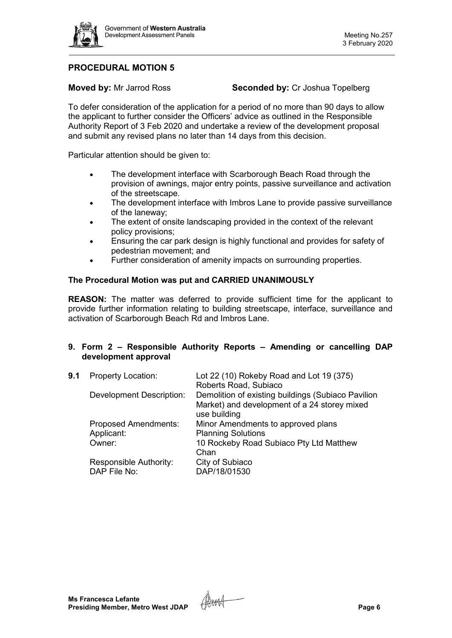

# **PROCEDURAL MOTION 5**

**Moved by:** Mr Jarrod Ross **Seconded by:** Cr Joshua Topelberg

To defer consideration of the application for a period of no more than 90 days to allow the applicant to further consider the Officers' advice as outlined in the Responsible Authority Report of 3 Feb 2020 and undertake a review of the development proposal and submit any revised plans no later than 14 days from this decision.

Particular attention should be given to:

- The development interface with Scarborough Beach Road through the provision of awnings, major entry points, passive surveillance and activation of the streetscape.
- The development interface with Imbros Lane to provide passive surveillance of the laneway;
- The extent of onsite landscaping provided in the context of the relevant policy provisions;
- Ensuring the car park design is highly functional and provides for safety of pedestrian movement; and
- Further consideration of amenity impacts on surrounding properties.

#### **The Procedural Motion was put and CARRIED UNANIMOUSLY**

**REASON:** The matter was deferred to provide sufficient time for the applicant to provide further information relating to building streetscape, interface, surveillance and activation of Scarborough Beach Rd and Imbros Lane.

#### **9. Form 2 – Responsible Authority Reports – Amending or cancelling DAP development approval**

| <b>Property Location:</b>              | Lot 22 (10) Rokeby Road and Lot 19 (375)<br>Roberts Road, Subiaco                                                  |
|----------------------------------------|--------------------------------------------------------------------------------------------------------------------|
| <b>Development Description:</b>        | Demolition of existing buildings (Subiaco Pavilion<br>Market) and development of a 24 storey mixed<br>use building |
| <b>Proposed Amendments:</b>            | Minor Amendments to approved plans                                                                                 |
| Applicant:                             | <b>Planning Solutions</b>                                                                                          |
| Owner:                                 | 10 Rockeby Road Subiaco Pty Ltd Matthew<br>Chan                                                                    |
| Responsible Authority:<br>DAP File No: | City of Subiaco<br>DAP/18/01530                                                                                    |
|                                        |                                                                                                                    |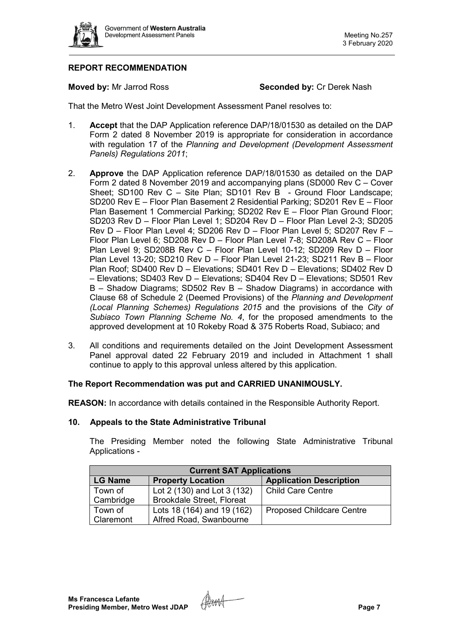

# **REPORT RECOMMENDATION**

**Moved by:** Mr Jarrod Ross **Seconded by:** Cr Derek Nash

That the Metro West Joint Development Assessment Panel resolves to:

- 1. **Accept** that the DAP Application reference DAP/18/01530 as detailed on the DAP Form 2 dated 8 November 2019 is appropriate for consideration in accordance with regulation 17 of the *Planning and Development (Development Assessment Panels) Regulations 2011*;
- 2. **Approve** the DAP Application reference DAP/18/01530 as detailed on the DAP Form 2 dated 8 November 2019 and accompanying plans (SD000 Rev C – Cover Sheet; SD100 Rev C – Site Plan; SD101 Rev B - Ground Floor Landscape; SD200 Rev E – Floor Plan Basement 2 Residential Parking; SD201 Rev E – Floor Plan Basement 1 Commercial Parking; SD202 Rev E - Floor Plan Ground Floor; SD203 Rev D – Floor Plan Level 1; SD204 Rev D – Floor Plan Level 2-3; SD205 Rev D – Floor Plan Level 4; SD206 Rev D – Floor Plan Level 5; SD207 Rev F – Floor Plan Level 6; SD208 Rev D – Floor Plan Level 7-8; SD208A Rev C – Floor Plan Level 9; SD208B Rev C – Floor Plan Level 10-12; SD209 Rev D – Floor Plan Level 13-20; SD210 Rev D – Floor Plan Level 21-23; SD211 Rev B – Floor Plan Roof; SD400 Rev D – Elevations; SD401 Rev D – Elevations; SD402 Rev D – Elevations; SD403 Rev D – Elevations; SD404 Rev D – Elevations; SD501 Rev B – Shadow Diagrams; SD502 Rev B – Shadow Diagrams) in accordance with Clause 68 of Schedule 2 (Deemed Provisions) of the *Planning and Development (Local Planning Schemes) Regulations 2015* and the provisions of the *City of Subiaco Town Planning Scheme No. 4*, for the proposed amendments to the approved development at 10 Rokeby Road & 375 Roberts Road, Subiaco; and
- 3. All conditions and requirements detailed on the Joint Development Assessment Panel approval dated 22 February 2019 and included in Attachment 1 shall continue to apply to this approval unless altered by this application.

### **The Report Recommendation was put and CARRIED UNANIMOUSLY.**

**REASON:** In accordance with details contained in the Responsible Authority Report.

#### **10. Appeals to the State Administrative Tribunal**

The Presiding Member noted the following State Administrative Tribunal Applications -

| <b>Current SAT Applications</b> |                                  |                                  |  |  |  |
|---------------------------------|----------------------------------|----------------------------------|--|--|--|
| <b>LG Name</b>                  | <b>Property Location</b>         | <b>Application Description</b>   |  |  |  |
| Town of                         | Lot 2 (130) and Lot 3 (132)      | <b>Child Care Centre</b>         |  |  |  |
| Cambridge                       | <b>Brookdale Street, Floreat</b> |                                  |  |  |  |
| Town of                         | Lots 18 (164) and 19 (162)       | <b>Proposed Childcare Centre</b> |  |  |  |
| Claremont                       | Alfred Road, Swanbourne          |                                  |  |  |  |